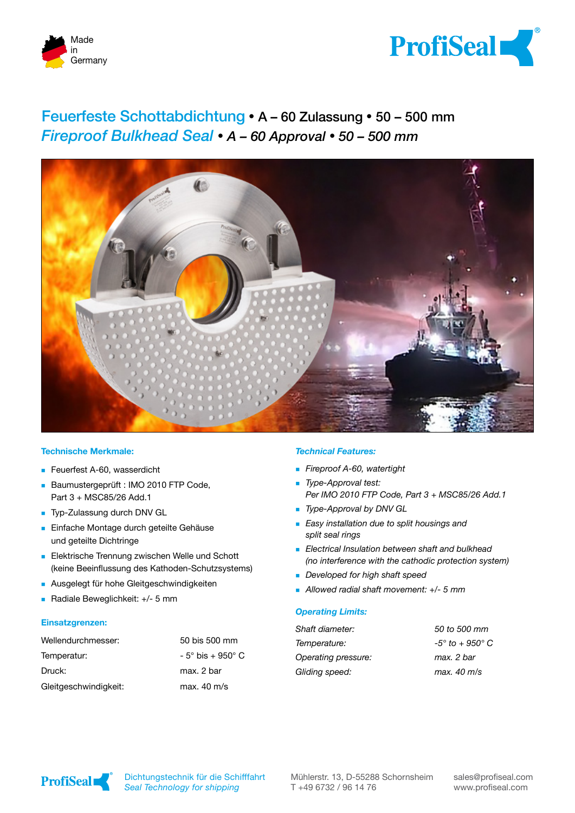



# Feuerfeste Schottabdichtung **�** A – 60 Zulassung **�** 50 – 500 mm *Fireproof Bulkhead Seal* **�** *A – 60 Approval* **�** *50 – 500 mm*



### **Technische Merkmale:**

- Feuerfest A-60, wasserdicht
- Baumustergeprüft : IMO 2010 FTP Code, Part 3 + MSC85/26 Add.1
- Typ-Zulassung durch DNV GL
- **Einfache Montage durch geteilte Gehäuse** und geteilte Dichtringe
- **Elektrische Trennung zwischen Welle und Schott** (keine Beeinflussung des Kathoden-Schutzsystems)
- **Ausgelegt für hohe Gleitgeschwindigkeiten**
- Radiale Beweglichkeit: +/- 5 mm

#### **Einsatzgrenzen:**

| Wellendurchmesser:    | 50 bis 500 mm                 |
|-----------------------|-------------------------------|
| Temperatur:           | $-5^\circ$ bis $+950^\circ$ C |
| Druck:                | max. 2 bar                    |
| Gleitgeschwindigkeit: | max. $40 \text{ m/s}$         |

#### *Technical Features:*

- *Fireproof A-60, watertight*
- *Type-Approval test: Per IMO 2010 FTP Code, Part 3 + MSC85/26 Add.1*
- *Type-Approval by DNV GL*
- *Easy installation due to split housings and split seal rings*
- *Electrical Insulation between shaft and bulkhead (no interference with the cathodic protection system)*
- *Developed for high shaft speed*
- *Allowed radial shaft movement: +/- 5 mm*

#### *Operating Limits:*

| Shaft diameter:     | 50 to 500 mm                 |
|---------------------|------------------------------|
| Temperature:        | $-5^\circ$ to $+950^\circ$ C |
| Operating pressure: | max. 2 bar                   |
| Gliding speed:      | max. 40 m/s                  |